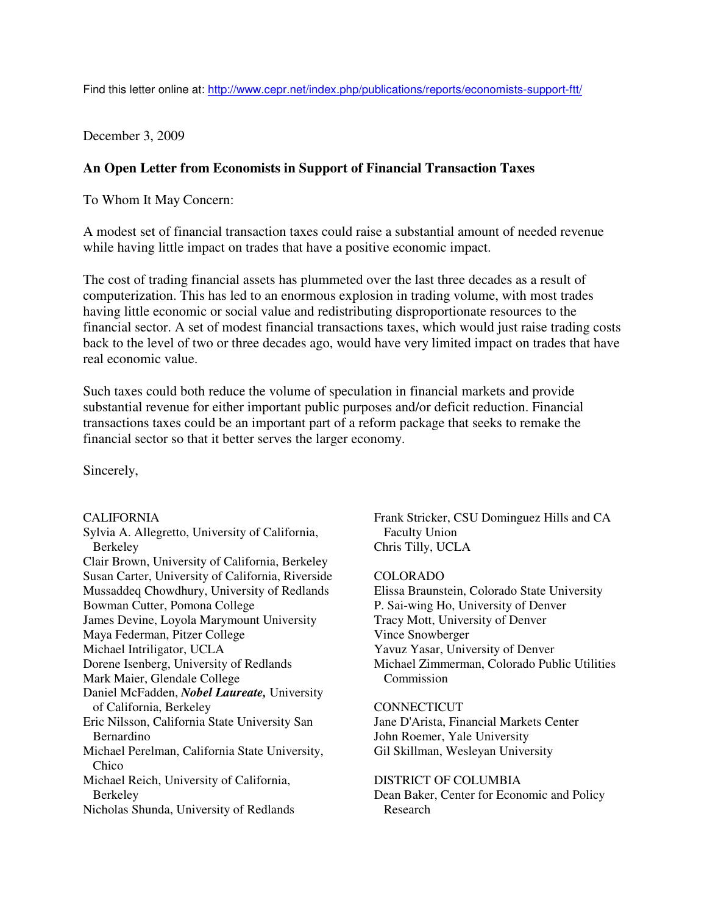Find this letter online at: http://www.cepr.net/index.php/publications/reports/economists-support-ftt/

December 3, 2009

# **An Open Letter from Economists in Support of Financial Transaction Taxes**

To Whom It May Concern:

A modest set of financial transaction taxes could raise a substantial amount of needed revenue while having little impact on trades that have a positive economic impact.

The cost of trading financial assets has plummeted over the last three decades as a result of computerization. This has led to an enormous explosion in trading volume, with most trades having little economic or social value and redistributing disproportionate resources to the financial sector. A set of modest financial transactions taxes, which would just raise trading costs back to the level of two or three decades ago, would have very limited impact on trades that have real economic value.

Such taxes could both reduce the volume of speculation in financial markets and provide substantial revenue for either important public purposes and/or deficit reduction. Financial transactions taxes could be an important part of a reform package that seeks to remake the financial sector so that it better serves the larger economy.

Sincerely,

# CALIFORNIA

Sylvia A. Allegretto, University of California, Berkeley Clair Brown, University of California, Berkeley Susan Carter, University of California, Riverside Mussaddeq Chowdhury, University of Redlands Bowman Cutter, Pomona College James Devine, Loyola Marymount University Maya Federman, Pitzer College Michael Intriligator, UCLA Dorene Isenberg, University of Redlands Mark Maier, Glendale College Daniel McFadden, *Nobel Laureate,* University of California, Berkeley Eric Nilsson, California State University San Bernardino Michael Perelman, California State University, Chico Michael Reich, University of California, Berkeley Nicholas Shunda, University of Redlands

Frank Stricker, CSU Dominguez Hills and CA Faculty Union Chris Tilly, UCLA

# COLORADO

Elissa Braunstein, Colorado State University P. Sai-wing Ho, University of Denver Tracy Mott, University of Denver Vince Snowberger Yavuz Yasar, University of Denver Michael Zimmerman, Colorado Public Utilities Commission

# **CONNECTICUT**

Jane D'Arista, Financial Markets Center John Roemer, Yale University Gil Skillman, Wesleyan University

DISTRICT OF COLUMBIA Dean Baker, Center for Economic and Policy Research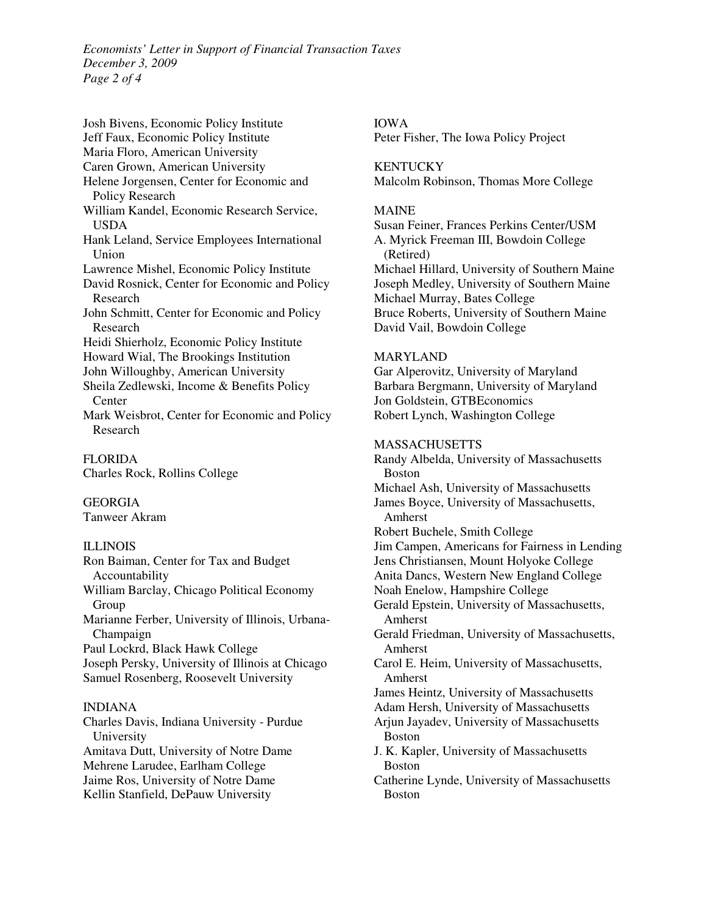*Economists' Letter in Support of Financial Transaction Taxes December 3, 2009 Page 2 of 4* 

Josh Bivens, Economic Policy Institute Jeff Faux, Economic Policy Institute Maria Floro, American University Caren Grown, American University Helene Jorgensen, Center for Economic and Policy Research William Kandel, Economic Research Service, USDA Hank Leland, Service Employees International Union Lawrence Mishel, Economic Policy Institute David Rosnick, Center for Economic and Policy Research John Schmitt, Center for Economic and Policy Research Heidi Shierholz, Economic Policy Institute Howard Wial, The Brookings Institution John Willoughby, American University Sheila Zedlewski, Income & Benefits Policy Center Mark Weisbrot, Center for Economic and Policy Research

FLORIDA Charles Rock, Rollins College

GEORGIA Tanweer Akram

# **ILLINOIS**

Ron Baiman, Center for Tax and Budget Accountability William Barclay, Chicago Political Economy Group Marianne Ferber, University of Illinois, Urbana-Champaign Paul Lockrd, Black Hawk College Joseph Persky, University of Illinois at Chicago Samuel Rosenberg, Roosevelt University

#### INDIANA

Charles Davis, Indiana University - Purdue University Amitava Dutt, University of Notre Dame Mehrene Larudee, Earlham College Jaime Ros, University of Notre Dame Kellin Stanfield, DePauw University

IOWA Peter Fisher, The Iowa Policy Project

**KENTUCKY** Malcolm Robinson, Thomas More College

#### MAINE

Susan Feiner, Frances Perkins Center/USM A. Myrick Freeman III, Bowdoin College (Retired) Michael Hillard, University of Southern Maine Joseph Medley, University of Southern Maine Michael Murray, Bates College Bruce Roberts, University of Southern Maine David Vail, Bowdoin College

#### MARYLAND

Gar Alperovitz, University of Maryland Barbara Bergmann, University of Maryland Jon Goldstein, GTBEconomics Robert Lynch, Washington College

### **MASSACHUSETTS**

Randy Albelda, University of Massachusetts Boston Michael Ash, University of Massachusetts James Boyce, University of Massachusetts, Amherst Robert Buchele, Smith College Jim Campen, Americans for Fairness in Lending Jens Christiansen, Mount Holyoke College Anita Dancs, Western New England College Noah Enelow, Hampshire College Gerald Epstein, University of Massachusetts, Amherst Gerald Friedman, University of Massachusetts, Amherst Carol E. Heim, University of Massachusetts, Amherst James Heintz, University of Massachusetts Adam Hersh, University of Massachusetts Arjun Jayadev, University of Massachusetts Boston J. K. Kapler, University of Massachusetts Boston Catherine Lynde, University of Massachusetts Boston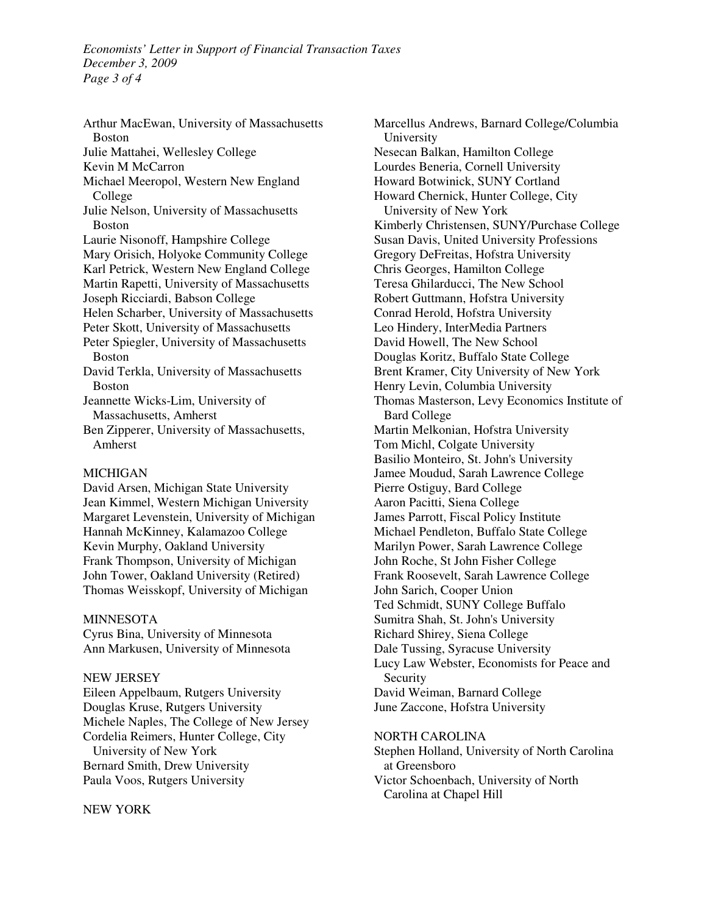*Economists' Letter in Support of Financial Transaction Taxes December 3, 2009 Page 3 of 4* 

Arthur MacEwan, University of Massachusetts Boston Julie Mattahei, Wellesley College Kevin M McCarron Michael Meeropol, Western New England College Julie Nelson, University of Massachusetts Boston Laurie Nisonoff, Hampshire College Mary Orisich, Holyoke Community College Karl Petrick, Western New England College Martin Rapetti, University of Massachusetts Joseph Ricciardi, Babson College Helen Scharber, University of Massachusetts Peter Skott, University of Massachusetts Peter Spiegler, University of Massachusetts Boston David Terkla, University of Massachusetts Boston Jeannette Wicks-Lim, University of Massachusetts, Amherst Ben Zipperer, University of Massachusetts, Amherst

### MICHIGAN

David Arsen, Michigan State University Jean Kimmel, Western Michigan University Margaret Levenstein, University of Michigan Hannah McKinney, Kalamazoo College Kevin Murphy, Oakland University Frank Thompson, University of Michigan John Tower, Oakland University (Retired) Thomas Weisskopf, University of Michigan

#### **MINNESOTA**

Cyrus Bina, University of Minnesota Ann Markusen, University of Minnesota

#### NEW JERSEY

Eileen Appelbaum, Rutgers University Douglas Kruse, Rutgers University Michele Naples, The College of New Jersey Cordelia Reimers, Hunter College, City University of New York Bernard Smith, Drew University Paula Voos, Rutgers University

#### NEW YORK

Marcellus Andrews, Barnard College/Columbia University Nesecan Balkan, Hamilton College Lourdes Beneria, Cornell University Howard Botwinick, SUNY Cortland Howard Chernick, Hunter College, City University of New York Kimberly Christensen, SUNY/Purchase College Susan Davis, United University Professions Gregory DeFreitas, Hofstra University Chris Georges, Hamilton College Teresa Ghilarducci, The New School Robert Guttmann, Hofstra University Conrad Herold, Hofstra University Leo Hindery, InterMedia Partners David Howell, The New School Douglas Koritz, Buffalo State College Brent Kramer, City University of New York Henry Levin, Columbia University Thomas Masterson, Levy Economics Institute of Bard College Martin Melkonian, Hofstra University Tom Michl, Colgate University Basilio Monteiro, St. John's University Jamee Moudud, Sarah Lawrence College Pierre Ostiguy, Bard College Aaron Pacitti, Siena College James Parrott, Fiscal Policy Institute Michael Pendleton, Buffalo State College Marilyn Power, Sarah Lawrence College John Roche, St John Fisher College Frank Roosevelt, Sarah Lawrence College John Sarich, Cooper Union Ted Schmidt, SUNY College Buffalo Sumitra Shah, St. John's University Richard Shirey, Siena College Dale Tussing, Syracuse University Lucy Law Webster, Economists for Peace and Security David Weiman, Barnard College June Zaccone, Hofstra University

# NORTH CAROLINA

Stephen Holland, University of North Carolina at Greensboro Victor Schoenbach, University of North Carolina at Chapel Hill